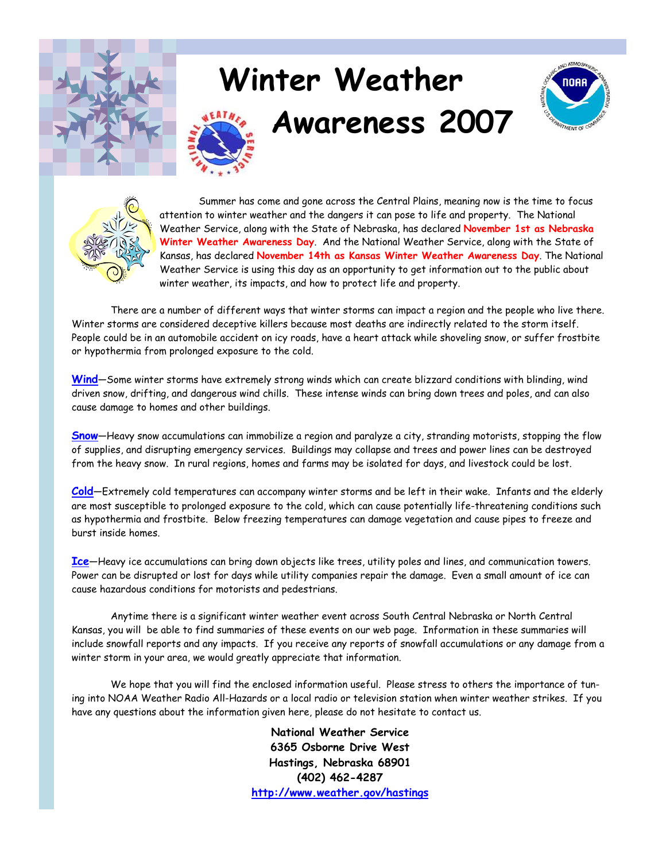

# **Winter Weather**







Summer has come and gone across the Central Plains, meaning now is the time to focus attention to winter weather and the dangers it can pose to life and property. The National Weather Service, along with the State of Nebraska, has declared **November 1st as Nebraska Winter Weather Awareness Day**. And the National Weather Service, along with the State of Kansas, has declared **November 14th as Kansas Winter Weather Awareness Day**. The National Weather Service is using this day as an opportunity to get information out to the public about winter weather, its impacts, and how to protect life and property.

 There are a number of different ways that winter storms can impact a region and the people who live there. Winter storms are considered deceptive killers because most deaths are indirectly related to the storm itself. People could be in an automobile accident on icy roads, have a heart attack while shoveling snow, or suffer frostbite or hypothermia from prolonged exposure to the cold.

**Wind**—Some winter storms have extremely strong winds which can create blizzard conditions with blinding, wind driven snow, drifting, and dangerous wind chills. These intense winds can bring down trees and poles, and can also cause damage to homes and other buildings.

**Snow**—Heavy snow accumulations can immobilize a region and paralyze a city, stranding motorists, stopping the flow of supplies, and disrupting emergency services. Buildings may collapse and trees and power lines can be destroyed from the heavy snow. In rural regions, homes and farms may be isolated for days, and livestock could be lost.

**Cold**—Extremely cold temperatures can accompany winter storms and be left in their wake. Infants and the elderly are most susceptible to prolonged exposure to the cold, which can cause potentially life-threatening conditions such as hypothermia and frostbite. Below freezing temperatures can damage vegetation and cause pipes to freeze and burst inside homes.

**Ice**—Heavy ice accumulations can bring down objects like trees, utility poles and lines, and communication towers. Power can be disrupted or lost for days while utility companies repair the damage. Even a small amount of ice can cause hazardous conditions for motorists and pedestrians.

 Anytime there is a significant winter weather event across South Central Nebraska or North Central Kansas, you will be able to find summaries of these events on our web page. Information in these summaries will include snowfall reports and any impacts. If you receive any reports of snowfall accumulations or any damage from a winter storm in your area, we would greatly appreciate that information.

 We hope that you will find the enclosed information useful. Please stress to others the importance of tuning into NOAA Weather Radio All-Hazards or a local radio or television station when winter weather strikes. If you have any questions about the information given here, please do not hesitate to contact us.

> **National Weather Service 6365 Osborne Drive West Hastings, Nebraska 68901 (402) 462-4287 http://www.weather.gov/hastings**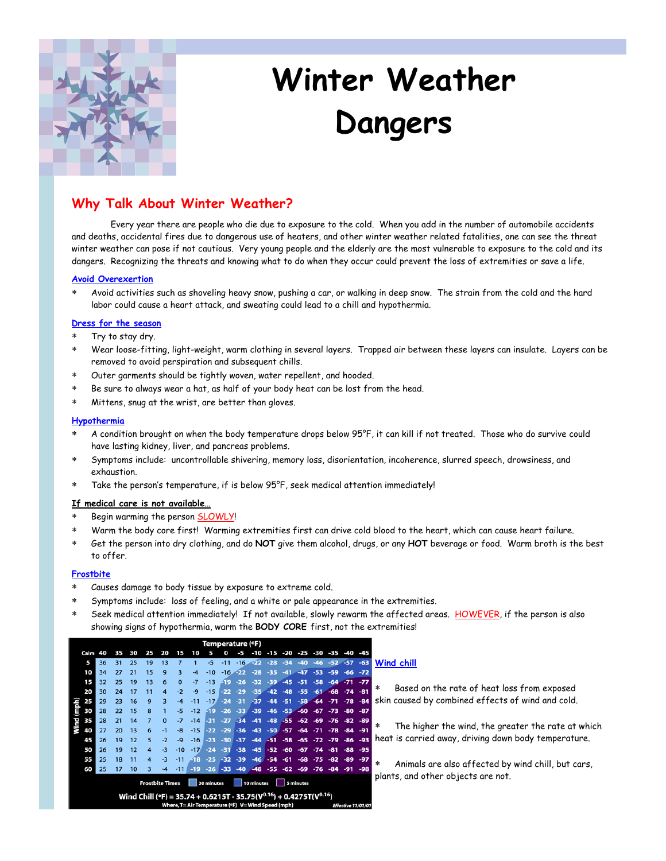

# **Winter Weather Dangers**

### **Why Talk About Winter Weather?**

 Every year there are people who die due to exposure to the cold. When you add in the number of automobile accidents and deaths, accidental fires due to dangerous use of heaters, and other winter weather related fatalities, one can see the threat winter weather can pose if not cautious. Very young people and the elderly are the most vulnerable to exposure to the cold and its dangers. Recognizing the threats and knowing what to do when they occur could prevent the loss of extremities or save a life.

#### **Avoid Overexertion**

∗ Avoid activities such as shoveling heavy snow, pushing a car, or walking in deep snow. The strain from the cold and the hard labor could cause a heart attack, and sweating could lead to a chill and hypothermia.

#### **Dress for the season**

- Try to stay dry.
- ∗ Wear loose-fitting, light-weight, warm clothing in several layers. Trapped air between these layers can insulate. Layers can be removed to avoid perspiration and subsequent chills.
- Outer garments should be tightly woven, water repellent, and hooded.
- Be sure to always wear a hat, as half of your body heat can be lost from the head.
- Mittens, snug at the wrist, are better than gloves.

#### **Hypothermia**

- ∗ A condition brought on when the body temperature drops below 95°F, it can kill if not treated. Those who do survive could have lasting kidney, liver, and pancreas problems.
- ∗ Symptoms include: uncontrollable shivering, memory loss, disorientation, incoherence, slurred speech, drowsiness, and exhaustion.
- Take the person's temperature, if is below 95°F, seek medical attention immediately!

#### **If medical care is not available…**

- Begin warming the person SLOWLY!
- Warm the body core first! Warming extremities first can drive cold blood to the heart, which can cause heart failure.
- ∗ Get the person into dry clothing, and do **NOT** give them alcohol, drugs, or any **HOT** beverage or food. Warm broth is the best to offer.

#### **Frostbite**

- Causes damage to body tissue by exposure to extreme cold.
- Symptoms include: loss of feeling, and a white or pale appearance in the extremities.
- Seek medical attention immediately! If not available, slowly rewarm the affected areas. HOWEVER, if the person is also showing signs of hypothermia, warm the **BODY CORE** first, not the extremities!

|               | Temperature (°F) |    |    |    |                        |                        |          |                                                                                                                                       |            |       |       |            |       |       |           |       |       |                    |       |         |
|---------------|------------------|----|----|----|------------------------|------------------------|----------|---------------------------------------------------------------------------------------------------------------------------------------|------------|-------|-------|------------|-------|-------|-----------|-------|-------|--------------------|-------|---------|
|               | Calm             | 40 | 35 | 30 | 25                     | 20                     | 15       | 10                                                                                                                                    |            |       |       | -10        | $-15$ | -20   | -25       | -30   | $-35$ | -40                | $-45$ |         |
|               | 5                | 36 | 31 | 25 | 19                     | 13                     | 7        |                                                                                                                                       | -5         | -11   | $-16$ | $-22$      | $-28$ | -34   | -40       | $-46$ | $-52$ | $-57$              | $-63$ | W       |
| (mph)<br>Wind | 10               | 34 | 27 | 21 | 15                     | 9                      | 3        | $-4$                                                                                                                                  | $-10$      | $-16$ | 499   | -28        | -35   | $-41$ | $-47$     | $-53$ | $-59$ | $-66$              | $-72$ |         |
|               | 15               | 32 | 25 | 19 | 13                     | 6                      | $\Omega$ | $-7$                                                                                                                                  | $-13$      | 49    | $-26$ | -32        | -39   | $-45$ | -51       | -58   | $-64$ | $-71$              | $-77$ |         |
|               | 20               | 30 | 24 | 17 | 11                     | $\boldsymbol{\Lambda}$ | $-2$     | $-9$                                                                                                                                  | $-15$      | $-22$ | $-29$ | $-35$      | $-42$ | $-48$ | $-55$     | $-61$ | $-68$ | $-74$              | $-81$ | *       |
|               | 25               | 29 | 23 | 16 | 9                      | 3                      | $-4$     | $-11$                                                                                                                                 | $-17/$     | $-24$ | $-31$ | $-37$      | $-44$ | $-51$ | $-58$     | $-64$ | $-71$ | $-78$              | $-84$ | sk      |
|               | 30               | 28 | 22 | 15 | 8                      |                        | -5       | $-12$                                                                                                                                 | -19        | $-26$ | $-33$ | $-39$      | $-46$ | $-53$ | $-60$     | $-67$ | $-73$ | -80                | $-87$ |         |
|               | 35               | 28 | 21 | 14 |                        | $\mathbf{0}$           | -7       | $-14$                                                                                                                                 | -21        | $-27$ | $-34$ | $-41$      | $-48$ | -55   | $-62$     | $-69$ | $-76$ | $-82$              | $-89$ | $\star$ |
|               | 40               | 27 | 20 | 13 | 6                      | $-1$                   | -8       | $-15$                                                                                                                                 | $-22$      | $-29$ | $-36$ | $-43$      | $-50$ | $-57$ | $-64$     | $-71$ | $-78$ | $-84$              | $-91$ |         |
|               | 45               | 26 | 19 | 12 | 5                      | $-2$                   | -9       | $-16$                                                                                                                                 | $-23$      | $-30$ | $-37$ | $-44$      | -51   | $-58$ | $-65$     | $-72$ | $-79$ | $-86$              | $-93$ | he      |
|               | 50               | 26 | 19 | 12 | 4                      | $-3$                   | $-10$    | $-17$                                                                                                                                 | $-24$      | $-31$ | $-38$ | $-45$      | $-52$ | -60   | $-67$     | $-74$ | $-81$ | $-88$              | $-95$ |         |
|               | 55               | 25 | 18 | 11 | 4                      | $-3$                   | $-11$    | $-18$                                                                                                                                 | $-25$      | $-32$ | $-39$ | $-46$      | $-54$ | $-61$ | $-68$     | $-75$ | $-82$ | -89                | $-97$ | $\ast$  |
|               | 60               | 25 | 17 | 10 | 3                      | $-4$                   | $-11$    | $-19$                                                                                                                                 | $-26$      | $-33$ | $-40$ | $-48$      | -55   | $-62$ | $-69$     | $-76$ | $-84$ | -91                | $-98$ |         |
|               |                  |    |    |    | <b>Frostbite Times</b> |                        |          |                                                                                                                                       | 30 minutes |       |       | 10 minutes |       |       | 5 minutes |       |       |                    |       | p۱      |
|               |                  |    |    |    |                        |                        |          | Wind Chill (°F) = 35.74 + 0.6215T - 35.75( $V^{0.16}$ ) + 0.4275T( $V^{0.16}$ )<br>Where, T= Air Temperature (°F) V= Wind Speed (mph) |            |       |       |            |       |       |           |       |       | Effective 11/01/01 |       |         |

#### **Wind chill**

Based on the rate of heat loss from exposed in caused by combined effects of wind and cold.

The higher the wind, the greater the rate at which eat is carried away, driving down body temperature.

Animals are also affected by wind chill, but cars, ants, and other objects are not.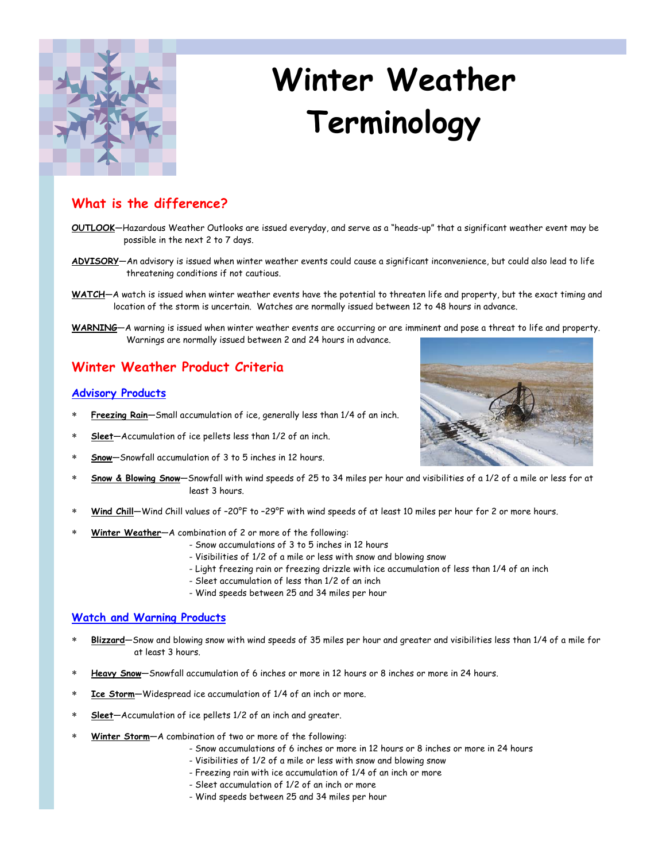

# **Winter Weather Terminology**

## **What is the difference?**

- **OUTLOOK**—Hazardous Weather Outlooks are issued everyday, and serve as a "heads-up" that a significant weather event may be possible in the next 2 to 7 days.
- **ADVISORY**—An advisory is issued when winter weather events could cause a significant inconvenience, but could also lead to life threatening conditions if not cautious.
- **WATCH**—A watch is issued when winter weather events have the potential to threaten life and property, but the exact timing and location of the storm is uncertain. Watches are normally issued between 12 to 48 hours in advance.
- **WARNING**—A warning is issued when winter weather events are occurring or are imminent and pose a threat to life and property. Warnings are normally issued between 2 and 24 hours in advance.

### **Winter Weather Product Criteria**

#### **Advisory Products**

- Freezing Rain-Small accumulation of ice, generally less than 1/4 of an inch.
- ∗ **Sleet**—Accumulation of ice pellets less than 1/2 of an inch.
- **Snow**-Snowfall accumulation of 3 to 5 inches in 12 hours.
- ∗ **Snow & Blowing Snow**—Snowfall with wind speeds of 25 to 34 miles per hour and visibilities of a 1/2 of a mile or less for at least 3 hours.
- Wind Chill–Wind Chill values of -20°F to -29°F with wind speeds of at least 10 miles per hour for 2 or more hours.
- Winter Weather-A combination of 2 or more of the following:
	- Snow accumulations of 3 to 5 inches in 12 hours
	- Visibilities of 1/2 of a mile or less with snow and blowing snow
	- Light freezing rain or freezing drizzle with ice accumulation of less than 1/4 of an inch
		- Sleet accumulation of less than 1/2 of an inch
		- Wind speeds between 25 and 34 miles per hour

#### **Watch and Warning Products**

- ∗ **Blizzard**—Snow and blowing snow with wind speeds of 35 miles per hour and greater and visibilities less than 1/4 of a mile for at least 3 hours.
- ∗ **Heavy Snow**—Snowfall accumulation of 6 inches or more in 12 hours or 8 inches or more in 24 hours.
- **Ice Storm**—Widespread ice accumulation of 1/4 of an inch or more.
- ∗ **Sleet**—Accumulation of ice pellets 1/2 of an inch and greater.
- Winter Storm-A combination of two or more of the following:
	- Snow accumulations of 6 inches or more in 12 hours or 8 inches or more in 24 hours
		- Visibilities of 1/2 of a mile or less with snow and blowing snow
	- Freezing rain with ice accumulation of 1/4 of an inch or more
	- Sleet accumulation of 1/2 of an inch or more
	- Wind speeds between 25 and 34 miles per hour

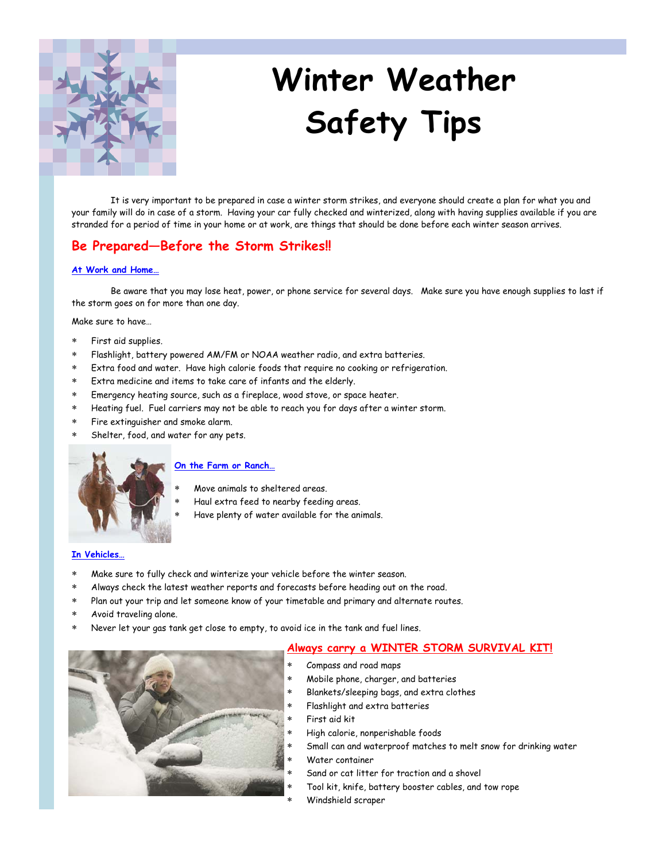

# **Winter Weather Safety Tips**

 It is very important to be prepared in case a winter storm strikes, and everyone should create a plan for what you and your family will do in case of a storm. Having your car fully checked and winterized, along with having supplies available if you are stranded for a period of time in your home or at work, are things that should be done before each winter season arrives.

### **Be Prepared—Before the Storm Strikes!!**

#### **At Work and Home…**

 Be aware that you may lose heat, power, or phone service for several days. Make sure you have enough supplies to last if the storm goes on for more than one day.

Make sure to have…

- ∗ First aid supplies.
- Flashlight, battery powered AM/FM or NOAA weather radio, and extra batteries.
- Extra food and water. Have high calorie foods that require no cooking or refrigeration.
- Extra medicine and items to take care of infants and the elderly.
- Emergency heating source, such as a fireplace, wood stove, or space heater.
- Heating fuel. Fuel carriers may not be able to reach you for days after a winter storm.
- Fire extinguisher and smoke alarm.
- Shelter, food, and water for any pets.



#### **On the Farm or Ranch…**

- Move animals to sheltered areas.
- Haul extra feed to nearby feeding areas.
- Have plenty of water available for the animals.

#### **In Vehicles…**

- Make sure to fully check and winterize your vehicle before the winter season.
- Always check the latest weather reports and forecasts before heading out on the road.
- Plan out your trip and let someone know of your timetable and primary and alternate routes.
- Avoid traveling alone.
- Never let your gas tank get close to empty, to avoid ice in the tank and fuel lines.

#### **Always carry a WINTER STORM SURVIVAL KIT!**



- ∗ Mobile phone, charger, and batteries
- Blankets/sleeping bags, and extra clothes
- Flashlight and extra batteries
- ∗ First aid kit
- ∗ High calorie, nonperishable foods
- Small can and waterproof matches to melt snow for drinking water
- Water container
	- Sand or cat litter for traction and a shovel
	- Tool kit, knife, battery booster cables, and tow rope
	- Windshield scraper